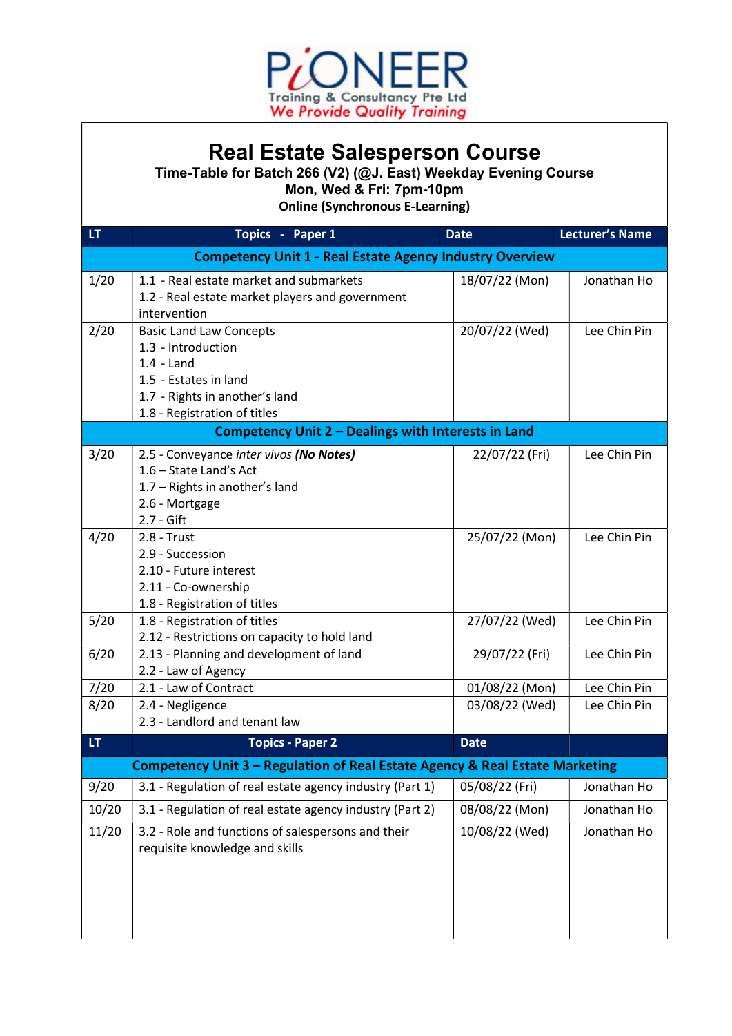

## Real Estate Salesperson Course

Time-Table for Batch 266 (V2) (@J. East) Weekday Evening Course

Mon, Wed & Fri: 7pm-10pm

Online (Synchronous E-Learning)

| LT                                                              | Topics - Paper 1                                                             | <b>Date</b>    | Lecturer's Name |  |  |
|-----------------------------------------------------------------|------------------------------------------------------------------------------|----------------|-----------------|--|--|
| <b>Competency Unit 1 - Real Estate Agency Industry Overview</b> |                                                                              |                |                 |  |  |
| 1/20                                                            | 1.1 - Real estate market and submarkets                                      | 18/07/22 (Mon) | Jonathan Ho     |  |  |
|                                                                 | 1.2 - Real estate market players and government                              |                |                 |  |  |
| 2/20                                                            | intervention<br><b>Basic Land Law Concepts</b>                               | 20/07/22 (Wed) | Lee Chin Pin    |  |  |
|                                                                 | 1.3 - Introduction                                                           |                |                 |  |  |
|                                                                 | $1.4 -$ Land                                                                 |                |                 |  |  |
|                                                                 | 1.5 - Estates in land                                                        |                |                 |  |  |
|                                                                 | 1.7 - Rights in another's land                                               |                |                 |  |  |
|                                                                 | 1.8 - Registration of titles                                                 |                |                 |  |  |
| Competency Unit 2 - Dealings with Interests in Land             |                                                                              |                |                 |  |  |
| 3/20                                                            | 2.5 - Conveyance inter vivos (No Notes)                                      | 22/07/22 (Fri) | Lee Chin Pin    |  |  |
|                                                                 | 1.6 - State Land's Act                                                       |                |                 |  |  |
|                                                                 | 1.7 - Rights in another's land                                               |                |                 |  |  |
|                                                                 | 2.6 - Mortgage                                                               |                |                 |  |  |
|                                                                 | 2.7 - Gift                                                                   |                |                 |  |  |
| 4/20                                                            | $2.8 - Trust$                                                                | 25/07/22 (Mon) | Lee Chin Pin    |  |  |
|                                                                 | 2.9 - Succession                                                             |                |                 |  |  |
|                                                                 | 2.10 - Future interest                                                       |                |                 |  |  |
|                                                                 | 2.11 - Co-ownership<br>1.8 - Registration of titles                          |                |                 |  |  |
| 5/20                                                            | 1.8 - Registration of titles                                                 | 27/07/22 (Wed) | Lee Chin Pin    |  |  |
|                                                                 | 2.12 - Restrictions on capacity to hold land                                 |                |                 |  |  |
| 6/20                                                            | 2.13 - Planning and development of land                                      | 29/07/22 (Fri) | Lee Chin Pin    |  |  |
|                                                                 | 2.2 - Law of Agency                                                          |                |                 |  |  |
| 7/20                                                            | 2.1 - Law of Contract                                                        | 01/08/22 (Mon) | Lee Chin Pin    |  |  |
| 8/20                                                            | 2.4 - Negligence                                                             | 03/08/22 (Wed) | Lee Chin Pin    |  |  |
|                                                                 | 2.3 - Landlord and tenant law                                                |                |                 |  |  |
| LT.                                                             | <b>Topics - Paper 2</b>                                                      | <b>Date</b>    |                 |  |  |
|                                                                 | Competency Unit 3 - Regulation of Real Estate Agency & Real Estate Marketing |                |                 |  |  |
| 9/20                                                            | 3.1 - Regulation of real estate agency industry (Part 1)                     | 05/08/22 (Fri) | Jonathan Ho     |  |  |
| 10/20                                                           | 3.1 - Regulation of real estate agency industry (Part 2)                     | 08/08/22 (Mon) | Jonathan Ho     |  |  |
| 11/20                                                           | 3.2 - Role and functions of salespersons and their                           | 10/08/22 (Wed) | Jonathan Ho     |  |  |
|                                                                 | requisite knowledge and skills                                               |                |                 |  |  |
|                                                                 |                                                                              |                |                 |  |  |
|                                                                 |                                                                              |                |                 |  |  |
|                                                                 |                                                                              |                |                 |  |  |
|                                                                 |                                                                              |                |                 |  |  |